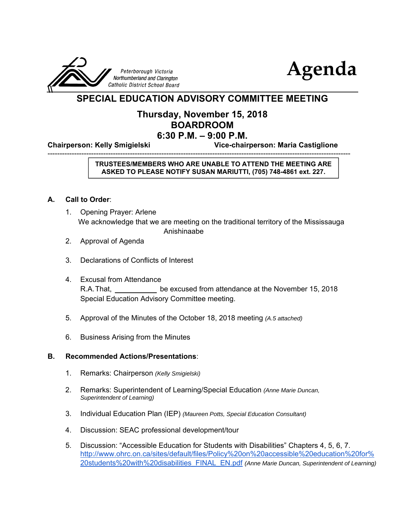



### **SPECIAL EDUCATION ADVISORY COMMITTEE MEETING**

#### **Thursday, November 15, 2018 BOARDROOM 6:30 P.M. – 9:00 P.M.**

-----------------------------------------------------------------------------------------------------------------------------

**Chairperson: Kelly Smigielski Vice-chairperson: Maria Castiglione**

#### **TRUSTEES/MEMBERS WHO ARE UNABLE TO ATTEND THE MEETING ARE ASKED TO PLEASE NOTIFY SUSAN MARIUTTI, (705) 748-4861 ext. 227.**

#### **A. Call to Order**:

- 1. Opening Prayer: Arlene We acknowledge that we are meeting on the traditional territory of the Mississauga Anishinaabe
- 2. Approval of Agenda
- 3. Declarations of Conflicts of Interest
- 4. Excusal from Attendance R.A. That, be excused from attendance at the November 15, 2018 Special Education Advisory Committee meeting.
- 5. Approval of the Minutes of the October 18, 2018 meeting *(A.5 attached)*
- 6. Business Arising from the Minutes

#### **B. Recommended Actions/Presentations**:

- 1. Remarks: Chairperson *(Kelly Smigielski)*
- 2. Remarks: Superintendent of Learning/Special Education *(Anne Marie Duncan, Superintendent of Learning)*
- 3. Individual Education Plan (IEP) *(Maureen Potts, Special Education Consultant)*
- 4. Discussion: SEAC professional development/tour
- 5. Discussion: "Accessible Education for Students with Disabilities" Chapters 4, 5, 6, 7. http://www.ohrc.on.ca/sites/default/files/Policy%20on%20accessible%20education%20for% 20students%20with%20disabilities\_FINAL\_EN.pdf *(Anne Marie Duncan, Superintendent of Learning)*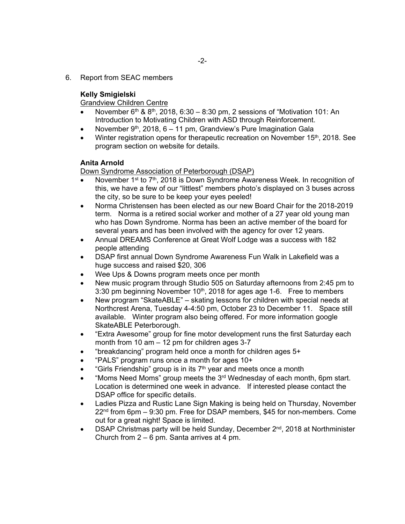6. Report from SEAC members

#### **Kelly Smigielski**

#### Grandview Children Centre

- November  $6th$  &  $8th$ , 2018, 6:30 8:30 pm, 2 sessions of "Motivation 101: An Introduction to Motivating Children with ASD through Reinforcement.
- November 9<sup>th</sup>, 2018,  $6 11$  pm, Grandview's Pure Imagination Gala
- Winter registration opens for therapeutic recreation on November 15<sup>th</sup>, 2018. See program section on website for details.

#### **Anita Arnold**

**Down Syndrome Association of Peterborough (DSAP)** 

- November 1<sup>st</sup> to 7<sup>th</sup>, 2018 is Down Syndrome Awareness Week. In recognition of this, we have a few of our "littlest" members photo's displayed on 3 buses across the city, so be sure to be keep your eyes peeled!
- Norma Christensen has been elected as our new Board Chair for the 2018-2019 term. Norma is a retired social worker and mother of a 27 year old young man who has Down Syndrome. Norma has been an active member of the board for several years and has been involved with the agency for over 12 years.
- Annual DREAMS Conference at Great Wolf Lodge was a success with 182 people attending
- DSAP first annual Down Syndrome Awareness Fun Walk in Lakefield was a huge success and raised \$20, 306
- Wee Ups & Downs program meets once per month
- New music program through Studio 505 on Saturday afternoons from 2:45 pm to 3:30 pm beginning November  $10<sup>th</sup>$ , 2018 for ages age 1-6. Free to members
- New program "SkateABLE" skating lessons for children with special needs at Northcrest Arena, Tuesday 4-4:50 pm, October 23 to December 11. Space still available. Winter program also being offered. For more information google SkateABLE Peterborough.
- "Extra Awesome" group for fine motor development runs the first Saturday each month from 10 am – 12 pm for children ages 3-7
- "breakdancing" program held once a month for children ages 5+
- "PALS" program runs once a month for ages 10+
- "Girls Friendship" group is in its  $7<sup>th</sup>$  year and meets once a month
- "Moms Need Moms" group meets the 3rd Wednesday of each month, 6pm start. Location is determined one week in advance. If interested please contact the DSAP office for specific details.
- Ladies Pizza and Rustic Lane Sign Making is being held on Thursday, November  $22<sup>nd</sup>$  from 6pm – 9:30 pm. Free for DSAP members, \$45 for non-members. Come out for a great night! Space is limited.
- DSAP Christmas party will be held Sunday, December 2<sup>nd</sup>, 2018 at Northminister Church from 2 – 6 pm. Santa arrives at 4 pm.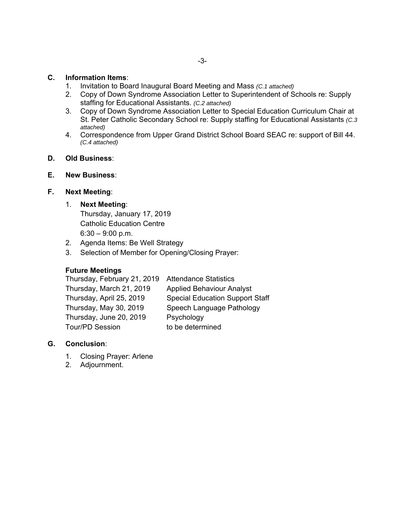#### **C. Information Items**:

- 1. Invitation to Board Inaugural Board Meeting and Mass *(C.1 attached)*
- 2. Copy of Down Syndrome Association Letter to Superintendent of Schools re: Supply staffing for Educational Assistants. *(C.2 attached)*
- 3. Copy of Down Syndrome Association Letter to Special Education Curriculum Chair at St. Peter Catholic Secondary School re: Supply staffing for Educational Assistants *(C.3 attached)*
- 4. Correspondence from Upper Grand District School Board SEAC re: support of Bill 44. *(C.4 attached)*
- **D. Old Business**:
- **E. New Business**:

#### **F. Next Meeting**:

#### 1. **Next Meeting**:

 Thursday, January 17, 2019 Catholic Education Centre  $6:30 - 9:00$  p.m.

- 2. Agenda Items: Be Well Strategy
- 3. Selection of Member for Opening/Closing Prayer:

#### **Future Meetings**

| <b>Special Education Support Staff</b> |
|----------------------------------------|
|                                        |
|                                        |
|                                        |
| Speech Language Pathology              |

#### **G. Conclusion**:

- 1. Closing Prayer: Arlene
- 2. Adjournment.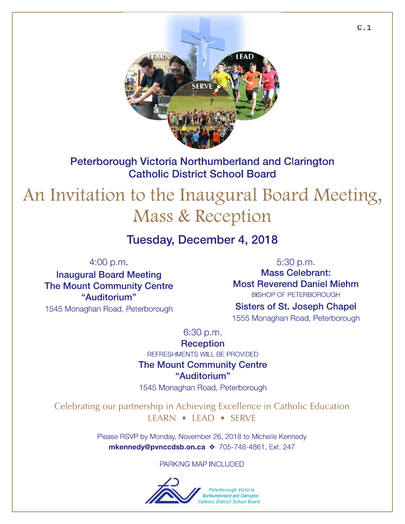

Peterborough Victoria Northumberland and Clarington **Catholic District School Board** 

# An Invitation to the Inaugural Board Meeting, Mass & Reception

## Tuesday, December 4, 2018

 $4:00 p.m.$ 

**Inaugural Board Meeting The Mount Community Centre** "Auditorium" 1545 Monaghan Road, Peterborough

5:30 p.m. **Mass Celebrant: Most Reverend Daniel Miehm BISHOP OF PETERBOROUGH Sisters of St. Joseph Chapel** 

1555 Monaghan Road, Peterborough

 $6:30 p.m.$ 

**Reception** 

REFRESHMENTS WILL BE PROVIDED

**The Mount Community Centre** "Auditorium"

1545 Monaghan Road, Peterborough

Celebrating our partnership in Achieving Excellence in Catholic Education LEARN • LEAD • SERVE

> Please RSVP by Monday, November 26, 2018 to Michelle Kennedy mkennedy@pvnccdsb.on.ca \* 705-748-4861, Ext. 247

> > PARKING MAP INCLUDED

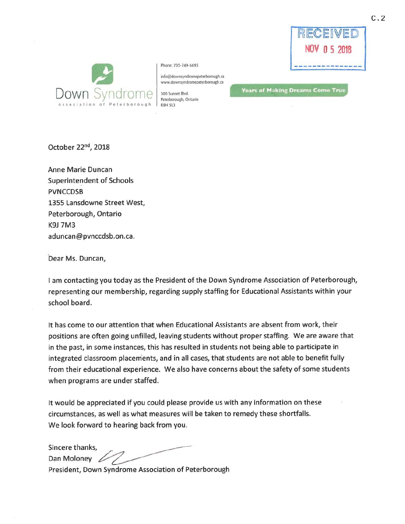



Phone: 705-749-6695

info@downsyndromepeterborough.ca www.downsyndromepeterborough.ca

300 Sunset Blvd. Peterborough, Ontario **COH 513** 

**Years of Making Dreams Come True** 

October 22<sup>nd</sup>, 2018

Anne Marie Duncan **Superintendent of Schools PVNCCDSB** 1355 Lansdowne Street West, Peterborough, Ontario K9J 7M3 aduncan@pvnccdsb.on.ca.

Dear Ms. Duncan,

I am contacting you today as the President of the Down Syndrome Association of Peterborough, representing our membership, regarding supply staffing for Educational Assistants within your school board.

It has come to our attention that when Educational Assistants are absent from work, their positions are often going unfilled, leaving students without proper staffing. We are aware that in the past, in some instances, this has resulted in students not being able to participate in integrated classroom placements, and in all cases, that students are not able to benefit fully from their educational experience. We also have concerns about the safety of some students when programs are under staffed.

It would be appreciated if you could please provide us with any information on these circumstances, as well as what measures will be taken to remedy these shortfalls. We look forward to hearing back from you.

Sincere thanks. Dan Moloney 6 President, Down Syndrome Association of Peterborough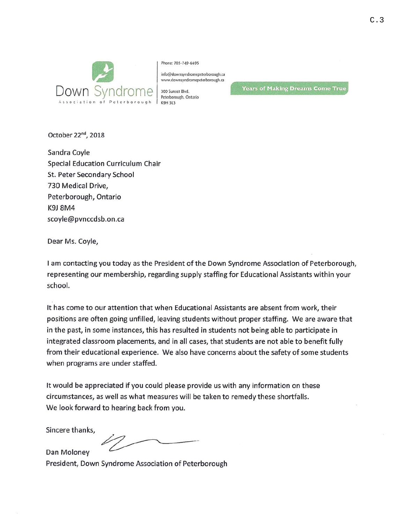

Phone: 705-749-6695

COH SI3

info@downsyndromepeterborough.ca www.downsyndromepeterborough.ca

**Years of Making Dreams Come True** 

October 22<sup>nd</sup>, 2018

Sandra Coyle Special Education Curriculum Chair St. Peter Secondary School 730 Medical Drive, Peterborough, Ontario **K9J 8M4** scoyle@pvnccdsb.on.ca

Dear Ms. Coyle,

I am contacting you today as the President of the Down Syndrome Association of Peterborough, representing our membership, regarding supply staffing for Educational Assistants within your school.

It has come to our attention that when Educational Assistants are absent from work, their positions are often going unfilled, leaving students without proper staffing. We are aware that in the past, in some instances, this has resulted in students not being able to participate in integrated classroom placements, and in all cases, that students are not able to benefit fully from their educational experience. We also have concerns about the safety of some students when programs are under staffed.

It would be appreciated if you could please provide us with any information on these circumstances, as well as what measures will be taken to remedy these shortfalls. We look forward to hearing back from you.

Sincere thanks,

Dan Molonev

President, Down Syndrome Association of Peterborough